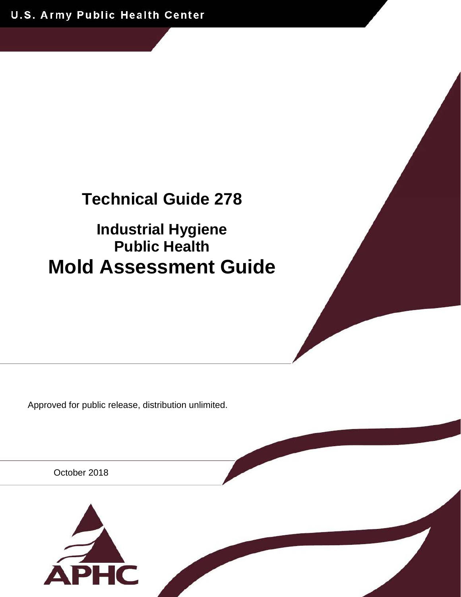# **Technical Guide 278**

**Industrial Hygiene Public Health Mold Assessment Guide**

Approved for public release, distribution unlimited.

October 2018

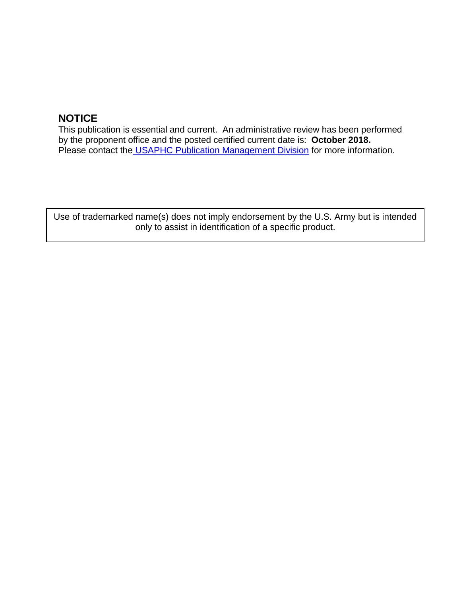# **NOTICE**

This publication is essential and current. An administrative review has been performed by the proponent office and the posted certified current date is: **October 2018.** Please contact the USAPHC Publication Management Division for more information.

Use of trademarked name(s) does not imply endorsement by the U.S. Army but is intended only to assist in identification of a specific product.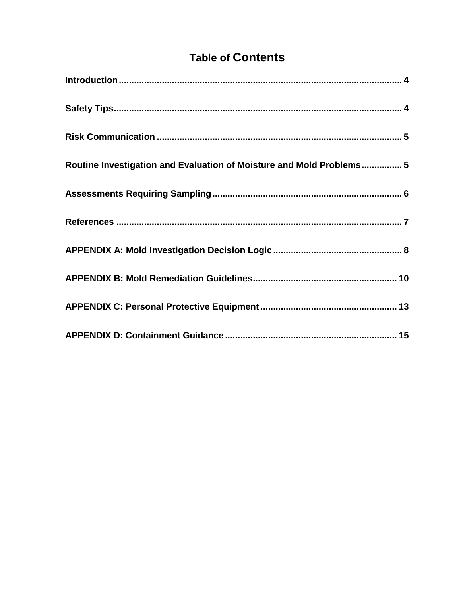# **Table of Contents**

| Routine Investigation and Evaluation of Moisture and Mold Problems 5 |
|----------------------------------------------------------------------|
|                                                                      |
|                                                                      |
|                                                                      |
|                                                                      |
|                                                                      |
|                                                                      |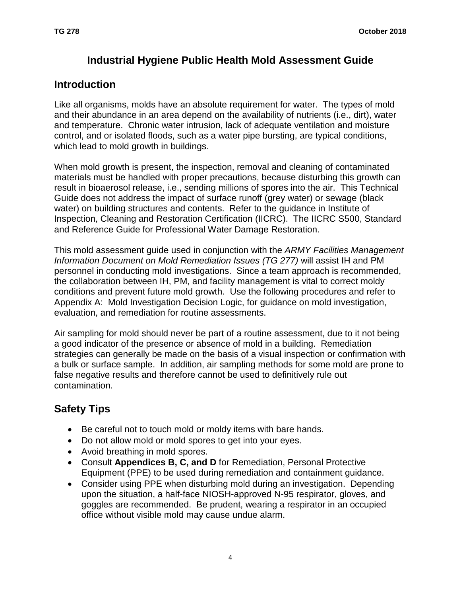### **Industrial Hygiene Public Health Mold Assessment Guide**

### <span id="page-3-0"></span>**Introduction**

Like all organisms, molds have an absolute requirement for water. The types of mold and their abundance in an area depend on the availability of nutrients (i.e., dirt), water and temperature. Chronic water intrusion, lack of adequate ventilation and moisture control, and or isolated floods, such as a water pipe bursting, are typical conditions, which lead to mold growth in buildings.

When mold growth is present, the inspection, removal and cleaning of contaminated materials must be handled with proper precautions, because disturbing this growth can result in bioaerosol release, i.e., sending millions of spores into the air. This Technical Guide does not address the impact of surface runoff (grey water) or sewage (black water) on building structures and contents. Refer to the guidance in Institute of Inspection, Cleaning and Restoration Certification (IICRC). The IICRC S500, Standard and Reference Guide for Professional Water Damage Restoration.

This mold assessment guide used in conjunction with the *ARMY Facilities Management Information Document on Mold Remediation Issues (TG 277)* will assist IH and PM personnel in conducting mold investigations. Since a team approach is recommended, the collaboration between IH, PM, and facility management is vital to correct moldy conditions and prevent future mold growth. Use the following procedures and refer to Appendix A: Mold Investigation Decision Logic, for guidance on mold investigation, evaluation, and remediation for routine assessments.

Air sampling for mold should never be part of a routine assessment, due to it not being a good indicator of the presence or absence of mold in a building. Remediation strategies can generally be made on the basis of a visual inspection or confirmation with a bulk or surface sample. In addition, air sampling methods for some mold are prone to false negative results and therefore cannot be used to definitively rule out contamination.

# <span id="page-3-1"></span>**Safety Tips**

- Be careful not to touch mold or moldy items with bare hands.
- Do not allow mold or mold spores to get into your eyes.
- Avoid breathing in mold spores.
- Consult **Appendices B, C, and D** for Remediation, Personal Protective Equipment (PPE) to be used during remediation and containment guidance.
- Consider using PPE when disturbing mold during an investigation. Depending upon the situation, a half-face NIOSH-approved N-95 respirator, gloves, and goggles are recommended. Be prudent, wearing a respirator in an occupied office without visible mold may cause undue alarm.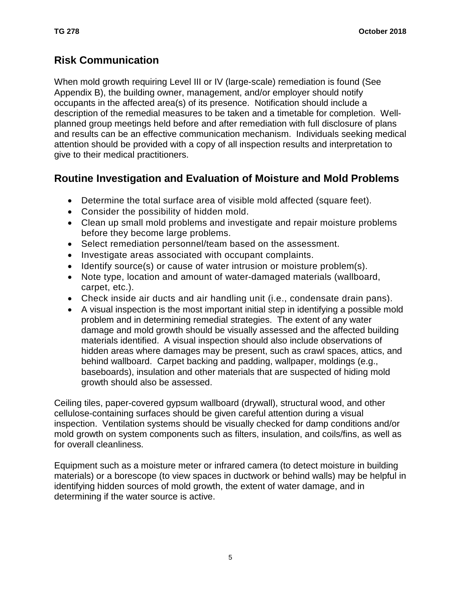# <span id="page-4-0"></span>**Risk Communication**

When mold growth requiring Level III or IV (large-scale) remediation is found (See Appendix B), the building owner, management, and/or employer should notify occupants in the affected area(s) of its presence. Notification should include a description of the remedial measures to be taken and a timetable for completion. Wellplanned group meetings held before and after remediation with full disclosure of plans and results can be an effective communication mechanism. Individuals seeking medical attention should be provided with a copy of all inspection results and interpretation to give to their medical practitioners.

# **Routine Investigation and Evaluation of Moisture and Mold Problems**

- Determine the total surface area of visible mold affected (square feet).
- Consider the possibility of hidden mold.
- Clean up small mold problems and investigate and repair moisture problems before they become large problems.
- Select remediation personnel/team based on the assessment.
- Investigate areas associated with occupant complaints.
- Identify source(s) or cause of water intrusion or moisture problem(s).
- Note type, location and amount of water-damaged materials (wallboard, carpet, etc.).
- Check inside air ducts and air handling unit (i.e., condensate drain pans).
- A visual inspection is the most important initial step in identifying a possible mold problem and in determining remedial strategies. The extent of any water damage and mold growth should be visually assessed and the affected building materials identified. A visual inspection should also include observations of hidden areas where damages may be present, such as crawl spaces, attics, and behind wallboard. Carpet backing and padding, wallpaper, moldings (e.g., baseboards), insulation and other materials that are suspected of hiding mold growth should also be assessed.

Ceiling tiles, paper-covered gypsum wallboard (drywall), structural wood, and other cellulose-containing surfaces should be given careful attention during a visual inspection. Ventilation systems should be visually checked for damp conditions and/or mold growth on system components such as filters, insulation, and coils/fins, as well as for overall cleanliness.

<span id="page-4-1"></span>Equipment such as a moisture meter or infrared camera (to detect moisture in building materials) or a borescope (to view spaces in ductwork or behind walls) may be helpful in identifying hidden sources of mold growth, the extent of water damage, and in determining if the water source is active.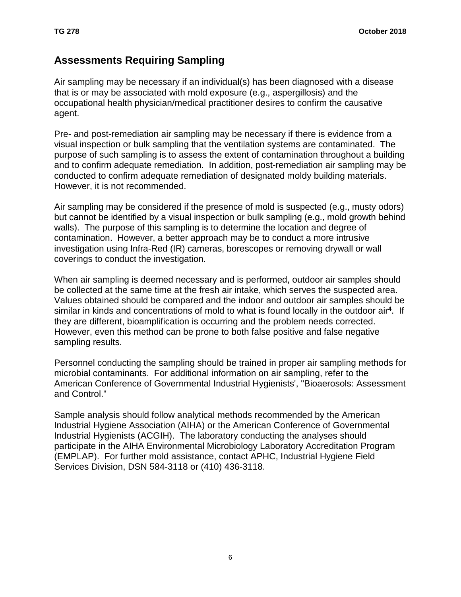# **Assessments Requiring Sampling**

Air sampling may be necessary if an individual(s) has been diagnosed with a disease that is or may be associated with mold exposure (e.g., aspergillosis) and the occupational health physician/medical practitioner desires to confirm the causative agent.

Pre- and post-remediation air sampling may be necessary if there is evidence from a visual inspection or bulk sampling that the ventilation systems are contaminated. The purpose of such sampling is to assess the extent of contamination throughout a building and to confirm adequate remediation. In addition, post-remediation air sampling may be conducted to confirm adequate remediation of designated moldy building materials. However, it is not recommended.

Air sampling may be considered if the presence of mold is suspected (e.g., musty odors) but cannot be identified by a visual inspection or bulk sampling (e.g., mold growth behind walls). The purpose of this sampling is to determine the location and degree of contamination. However, a better approach may be to conduct a more intrusive investigation using Infra-Red (IR) cameras, borescopes or removing drywall or wall coverings to conduct the investigation.

When air sampling is deemed necessary and is performed, outdoor air samples should be collected at the same time at the fresh air intake, which serves the suspected area. Values obtained should be compared and the indoor and outdoor air samples should be similar in kinds and concentrations of mold to what is found locally in the outdoor air**<sup>4</sup>**. If they are different, bioamplification is occurring and the problem needs corrected. However, even this method can be prone to both false positive and false negative sampling results.

Personnel conducting the sampling should be trained in proper air sampling methods for microbial contaminants. For additional information on air sampling, refer to the American Conference of Governmental Industrial Hygienists', "Bioaerosols: Assessment and Control."

Sample analysis should follow analytical methods recommended by the American Industrial Hygiene Association (AIHA) or the American Conference of Governmental Industrial Hygienists (ACGIH). The laboratory conducting the analyses should participate in the AIHA Environmental Microbiology Laboratory Accreditation Program (EMPLAP). For further mold assistance, contact APHC, Industrial Hygiene Field Services Division, DSN 584-3118 or (410) 436-3118.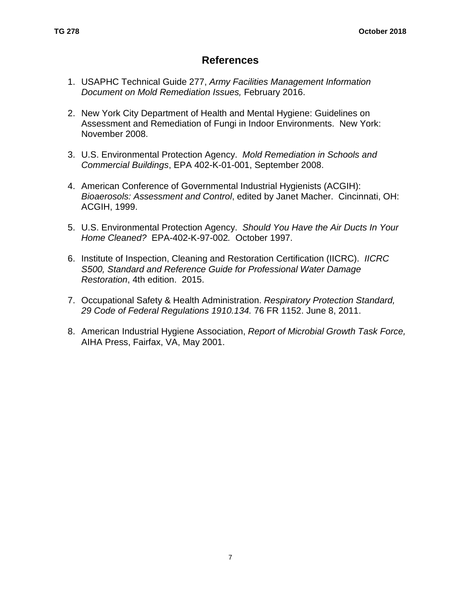### **References**

- <span id="page-6-0"></span>1. USAPHC Technical Guide 277, *Army Facilities Management Information Document on Mold Remediation Issues,* February 2016.
- 2. New York City Department of Health and Mental Hygiene: Guidelines on Assessment and Remediation of Fungi in Indoor Environments. New York: November 2008.
- 3. U.S. Environmental Protection Agency. *Mold Remediation in Schools and Commercial Buildings*, EPA 402-K-01-001, September 2008.
- 4. American Conference of Governmental Industrial Hygienists (ACGIH): *Bioaerosols: Assessment and Control*, edited by Janet Macher. Cincinnati, OH: ACGIH, 1999.
- 5. U.S. Environmental Protection Agency. *Should You Have the Air Ducts In Your Home Cleaned?* EPA-402-K-97-002*.* October 1997.
- 6. Institute of Inspection, Cleaning and Restoration Certification (IICRC). *IICRC S500, Standard and Reference Guide for Professional Water Damage Restoration*, 4th edition. 2015.
- 7. Occupational Safety & Health Administration. *Respiratory Protection Standard, 29 Code of Federal Regulations 1910.134.* 76 FR 1152. June 8, 2011.
- 8. American Industrial Hygiene Association, *Report of Microbial Growth Task Force,*  AIHA Press, Fairfax, VA, May 2001.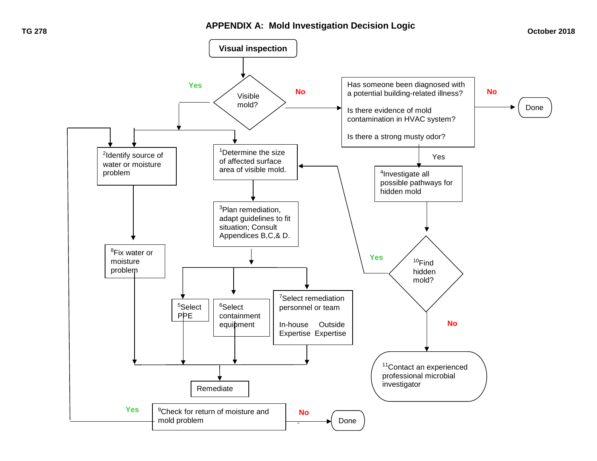#### **APPENDIX A: Mold Investigation Decision Logic**

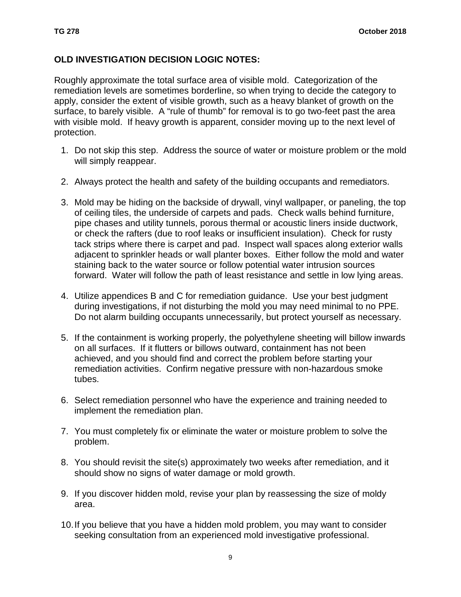### **OLD INVESTIGATION DECISION LOGIC NOTES:**

Roughly approximate the total surface area of visible mold. Categorization of the remediation levels are sometimes borderline, so when trying to decide the category to apply, consider the extent of visible growth, such as a heavy blanket of growth on the surface, to barely visible. A "rule of thumb" for removal is to go two-feet past the area with visible mold. If heavy growth is apparent, consider moving up to the next level of protection.

- 1. Do not skip this step. Address the source of water or moisture problem or the mold will simply reappear.
- 2. Always protect the health and safety of the building occupants and remediators.
- 3. Mold may be hiding on the backside of drywall, vinyl wallpaper, or paneling, the top of ceiling tiles, the underside of carpets and pads. Check walls behind furniture, pipe chases and utility tunnels, porous thermal or acoustic liners inside ductwork, or check the rafters (due to roof leaks or insufficient insulation). Check for rusty tack strips where there is carpet and pad. Inspect wall spaces along exterior walls adjacent to sprinkler heads or wall planter boxes. Either follow the mold and water staining back to the water source or follow potential water intrusion sources forward. Water will follow the path of least resistance and settle in low lying areas.
- 4. Utilize appendices B and C for remediation guidance. Use your best judgment during investigations, if not disturbing the mold you may need minimal to no PPE. Do not alarm building occupants unnecessarily, but protect yourself as necessary.
- 5. If the containment is working properly, the polyethylene sheeting will billow inwards on all surfaces. If it flutters or billows outward, containment has not been achieved, and you should find and correct the problem before starting your remediation activities. Confirm negative pressure with non-hazardous smoke tubes.
- 6. Select remediation personnel who have the experience and training needed to implement the remediation plan.
- 7. You must completely fix or eliminate the water or moisture problem to solve the problem.
- 8. You should revisit the site(s) approximately two weeks after remediation, and it should show no signs of water damage or mold growth.
- 9. If you discover hidden mold, revise your plan by reassessing the size of moldy area.
- 10.If you believe that you have a hidden mold problem, you may want to consider seeking consultation from an experienced mold investigative professional.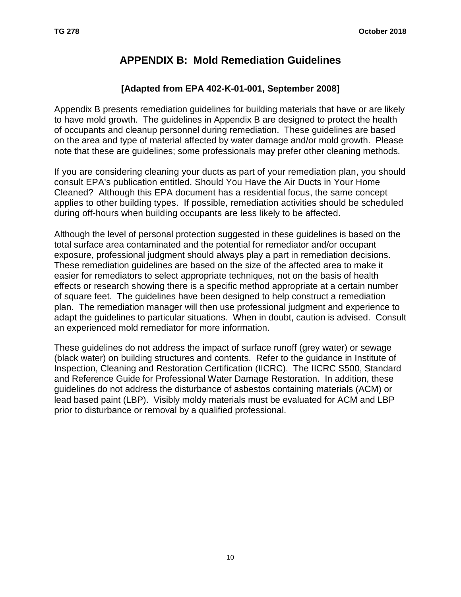# <span id="page-9-0"></span>**APPENDIX B: Mold Remediation Guidelines**

### **[Adapted from EPA 402-K-01-001, September 2008]**

Appendix B presents remediation guidelines for building materials that have or are likely to have mold growth. The guidelines in Appendix B are designed to protect the health of occupants and cleanup personnel during remediation. These guidelines are based on the area and type of material affected by water damage and/or mold growth. Please note that these are guidelines; some professionals may prefer other cleaning methods.

If you are considering cleaning your ducts as part of your remediation plan, you should consult EPA's publication entitled, Should You Have the Air Ducts in Your Home Cleaned? Although this EPA document has a residential focus, the same concept applies to other building types. If possible, remediation activities should be scheduled during off-hours when building occupants are less likely to be affected.

Although the level of personal protection suggested in these guidelines is based on the total surface area contaminated and the potential for remediator and/or occupant exposure, professional judgment should always play a part in remediation decisions. These remediation guidelines are based on the size of the affected area to make it easier for remediators to select appropriate techniques, not on the basis of health effects or research showing there is a specific method appropriate at a certain number of square feet. The guidelines have been designed to help construct a remediation plan. The remediation manager will then use professional judgment and experience to adapt the guidelines to particular situations. When in doubt, caution is advised. Consult an experienced mold remediator for more information.

These guidelines do not address the impact of surface runoff (grey water) or sewage (black water) on building structures and contents. Refer to the guidance in Institute of Inspection, Cleaning and Restoration Certification (IICRC). The IICRC S500, Standard and Reference Guide for Professional Water Damage Restoration. In addition, these guidelines do not address the disturbance of asbestos containing materials (ACM) or lead based paint (LBP). Visibly moldy materials must be evaluated for ACM and LBP prior to disturbance or removal by a qualified professional.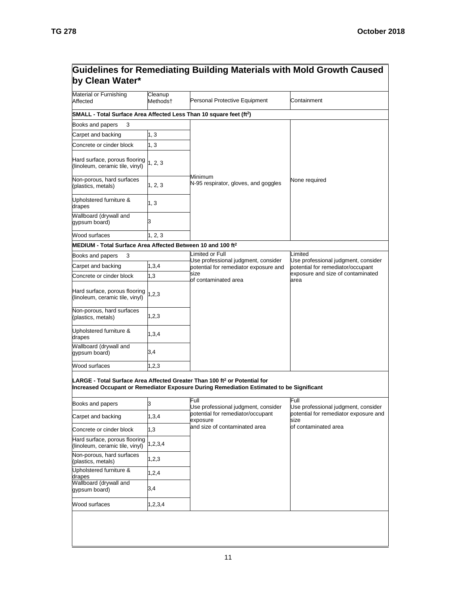#### **Guidelines for Remediating Building Materials with Mold Growth Caused by Clean Water\*** Material or Furnishing Affected Cleanup<br>Methods† Personal Protective Equipment Containment **SMALL - Total Surface Area Affected Less Than 10 square feet (ft2)** Books and papers 3 Minimum Willimum<br>N-95 respirator, gloves, and goggles None required Carpet and backing 1, 3 Concrete or cinder block 1, 3 Hard surface, porous flooring (linoleum, ceramic tile, vinyl)  $\begin{bmatrix} 1, 2, 3 \end{bmatrix}$ Non-porous, hard surfaces  $(plastic, metals)$   $1, 2, 3$ Upholstered furniture & Uphoistered furniture &  $\begin{bmatrix} 1, 3 \end{bmatrix}$ Wallboard (drywall and gypsum board) 3  $Wood$  surfaces  $1, 2, 3$ **MEDIUM - Total Surface Area Affected Between 10 and 100 ft2** Books and papers 3 Limited or Full Use professional judgment, consider potential for remediator exposure and size of contaminated area Limited Use professional judgment, consider potential for remediator/occupant exposure and size of contaminated area Carpet and backing  $\begin{bmatrix} 1,3,4 \end{bmatrix}$ Concrete or cinder block  $1,3$ Hard surface, porous flooring mard surface, porous hooring<br>(linoleum, ceramic tile, vinyl) | 1,2,3 Non-porous, hard surfaces (plastics, metals) 1,2,3 Upholstered furniture & 1,3,4 Wallboard (drywall and gypsum board)  $3,4$ Wood surfaces 1,2,3 **LARGE - Total Surface Area Affected Greater Than 100 ft2 or Potential for Increased Occupant or Remediator Exposure During Remediation Estimated to be Significant** Books and papers <sup>3</sup> Full Use professional judgment, consider potential for remediator/occupant exposure and size of contaminated area Full Use professional judgment, consider potential for remediator exposure and size of contaminated area Carpet and backing  $\vert$ 1,3,4 Concrete or cinder block  $\vert$ 1,3 Hard surface, porous flooring (linoleum, ceramic tile, vinyl) 1,2,3,4 Non-porous, hard surfaces  $(plastic, metals)$   $1,2,3$ Upholstered furniture & Uphoistered furniture & 1,2,4 Wallboard (drywall and gypsum board) 3,4  $Wood$  surfaces  $1,2,3,4$

11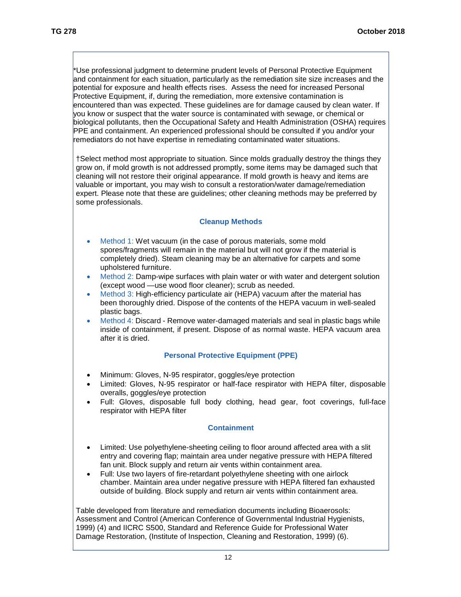\*Use professional judgment to determine prudent levels of Personal Protective Equipment and containment for each situation, particularly as the remediation site size increases and the potential for exposure and health effects rises. Assess the need for increased Personal Protective Equipment, if, during the remediation, more extensive contamination is encountered than was expected. These guidelines are for damage caused by clean water. If you know or suspect that the water source is contaminated with sewage, or chemical or biological pollutants, then the Occupational Safety and Health Administration (OSHA) requires PPE and containment. An experienced professional should be consulted if you and/or your remediators do not have expertise in remediating contaminated water situations.

†Select method most appropriate to situation. Since molds gradually destroy the things they grow on, if mold growth is not addressed promptly, some items may be damaged such that cleaning will not restore their original appearance. If mold growth is heavy and items are valuable or important, you may wish to consult a restoration/water damage/remediation expert. Please note that these are guidelines; other cleaning methods may be preferred by some professionals.

#### **Cleanup Methods**

- Method 1: Wet vacuum (in the case of porous materials, some mold spores/fragments will remain in the material but will not grow if the material is completely dried). Steam cleaning may be an alternative for carpets and some upholstered furniture.
- Method 2: Damp-wipe surfaces with plain water or with water and detergent solution (except wood —use wood floor cleaner); scrub as needed.
- Method 3: High-efficiency particulate air (HEPA) vacuum after the material has been thoroughly dried. Dispose of the contents of the HEPA vacuum in well-sealed plastic bags.
- Method 4: Discard Remove water-damaged materials and seal in plastic bags while inside of containment, if present. Dispose of as normal waste. HEPA vacuum area after it is dried.

#### **Personal Protective Equipment (PPE)**

- Minimum: Gloves, N-95 respirator, goggles/eye protection
- Limited: Gloves, N-95 respirator or half-face respirator with HEPA filter, disposable overalls, goggles/eye protection
- Full: Gloves, disposable full body clothing, head gear, foot coverings, full-face respirator with HEPA filter

#### **Containment**

- Limited: Use polyethylene-sheeting ceiling to floor around affected area with a slit entry and covering flap; maintain area under negative pressure with HEPA filtered fan unit. Block supply and return air vents within containment area.
- Full: Use two layers of fire-retardant polyethylene sheeting with one airlock chamber. Maintain area under negative pressure with HEPA filtered fan exhausted outside of building. Block supply and return air vents within containment area.

Table developed from literature and remediation documents including Bioaerosols: Assessment and Control (American Conference of Governmental Industrial Hygienists, 1999) (4) and IICRC S500, Standard and Reference Guide for Professional Water Damage Restoration, (Institute of Inspection, Cleaning and Restoration, 1999) (6).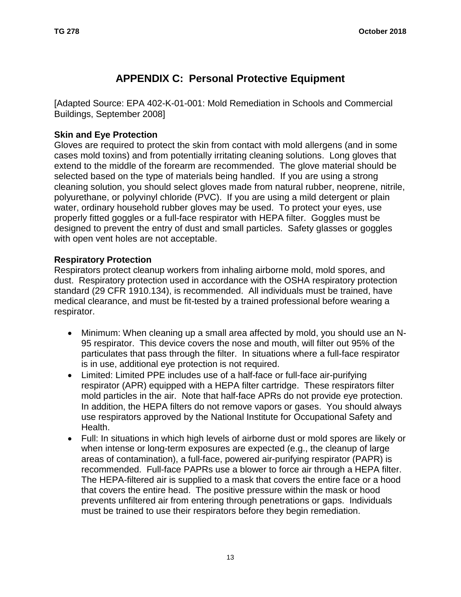# **APPENDIX C: Personal Protective Equipment**

<span id="page-12-0"></span>[Adapted Source: EPA 402-K-01-001: Mold Remediation in Schools and Commercial Buildings, September 2008]

### **Skin and Eye Protection**

Gloves are required to protect the skin from contact with mold allergens (and in some cases mold toxins) and from potentially irritating cleaning solutions. Long gloves that extend to the middle of the forearm are recommended. The glove material should be selected based on the type of materials being handled. If you are using a strong cleaning solution, you should select gloves made from natural rubber, neoprene, nitrile, polyurethane, or polyvinyl chloride (PVC). If you are using a mild detergent or plain water, ordinary household rubber gloves may be used. To protect your eyes, use properly fitted goggles or a full-face respirator with HEPA filter. Goggles must be designed to prevent the entry of dust and small particles. Safety glasses or goggles with open vent holes are not acceptable.

### **Respiratory Protection**

Respirators protect cleanup workers from inhaling airborne mold, mold spores, and dust. Respiratory protection used in accordance with the OSHA respiratory protection standard (29 CFR 1910.134), is recommended. All individuals must be trained, have medical clearance, and must be fit-tested by a trained professional before wearing a respirator.

- Minimum: When cleaning up a small area affected by mold, you should use an N-95 respirator. This device covers the nose and mouth, will filter out 95% of the particulates that pass through the filter. In situations where a full-face respirator is in use, additional eye protection is not required.
- Limited: Limited PPE includes use of a half-face or full-face air-purifying respirator (APR) equipped with a HEPA filter cartridge. These respirators filter mold particles in the air. Note that half-face APRs do not provide eye protection. In addition, the HEPA filters do not remove vapors or gases. You should always use respirators approved by the National Institute for Occupational Safety and Health.
- Full: In situations in which high levels of airborne dust or mold spores are likely or when intense or long-term exposures are expected (e.g., the cleanup of large areas of contamination), a full-face, powered air-purifying respirator (PAPR) is recommended. Full-face PAPRs use a blower to force air through a HEPA filter. The HEPA-filtered air is supplied to a mask that covers the entire face or a hood that covers the entire head. The positive pressure within the mask or hood prevents unfiltered air from entering through penetrations or gaps. Individuals must be trained to use their respirators before they begin remediation.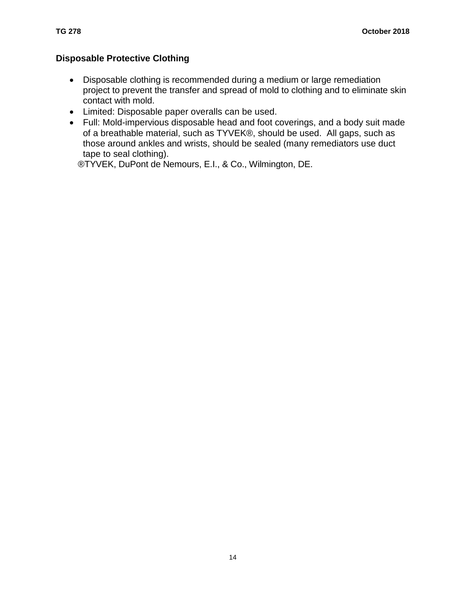### **Disposable Protective Clothing**

- Disposable clothing is recommended during a medium or large remediation project to prevent the transfer and spread of mold to clothing and to eliminate skin contact with mold.
- Limited: Disposable paper overalls can be used.
- Full: Mold-impervious disposable head and foot coverings, and a body suit made of a breathable material, such as TYVEK®, should be used. All gaps, such as those around ankles and wrists, should be sealed (many remediators use duct tape to seal clothing).

®TYVEK, DuPont de Nemours, E.I., & Co., Wilmington, DE.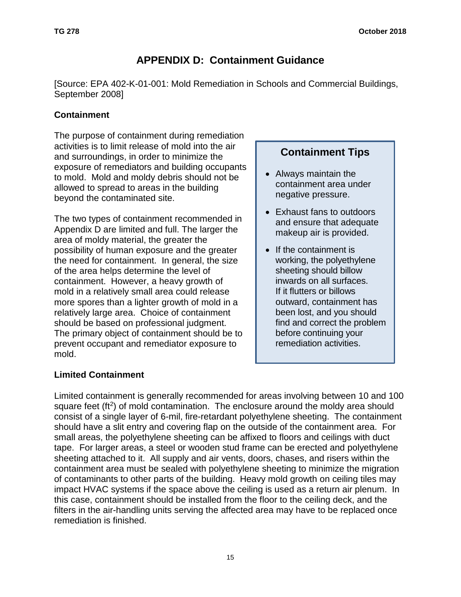# <span id="page-14-1"></span>**APPENDIX D: Containment Guidance**

<span id="page-14-0"></span>[Source: EPA 402-K-01-001: Mold Remediation in Schools and Commercial Buildings, September 2008]

### **Containment**

The purpose of containment during remediation activities is to limit release of mold into the air and surroundings, in order to minimize the exposure of remediators and building occupants to mold. Mold and moldy debris should not be allowed to spread to areas in the building beyond the contaminated site.

The two types of containment recommended in Appendix D are limited and full. The larger the area of moldy material, the greater the possibility of human exposure and the greater the need for containment. In general, the size of the area helps determine the level of containment. However, a heavy growth of mold in a relatively small area could release more spores than a lighter growth of mold in a relatively large area. Choice of containment should be based on professional judgment. The primary object of containment should be to prevent occupant and remediator exposure to mold.

# **Containment Tips**

- Always maintain the containment area under negative pressure.
- Exhaust fans to outdoors and ensure that adequate makeup air is provided.
- If the containment is working, the polyethylene sheeting should billow inwards on all surfaces. If it flutters or billows outward, containment has been lost, and you should find and correct the problem before continuing your remediation activities.

### **Limited Containment**

Limited containment is generally recommended for areas involving between 10 and 100 square feet ( $ft<sup>2</sup>$ ) of mold contamination. The enclosure around the moldy area should consist of a single layer of 6-mil, fire-retardant polyethylene sheeting. The containment should have a slit entry and covering flap on the outside of the containment area. For small areas, the polyethylene sheeting can be affixed to floors and ceilings with duct tape. For larger areas, a steel or wooden stud frame can be erected and polyethylene sheeting attached to it. All supply and air vents, doors, chases, and risers within the containment area must be sealed with polyethylene sheeting to minimize the migration of contaminants to other parts of the building. Heavy mold growth on ceiling tiles may impact HVAC systems if the space above the ceiling is used as a return air plenum. In this case, containment should be installed from the floor to the ceiling deck, and the filters in the air-handling units serving the affected area may have to be replaced once remediation is finished.